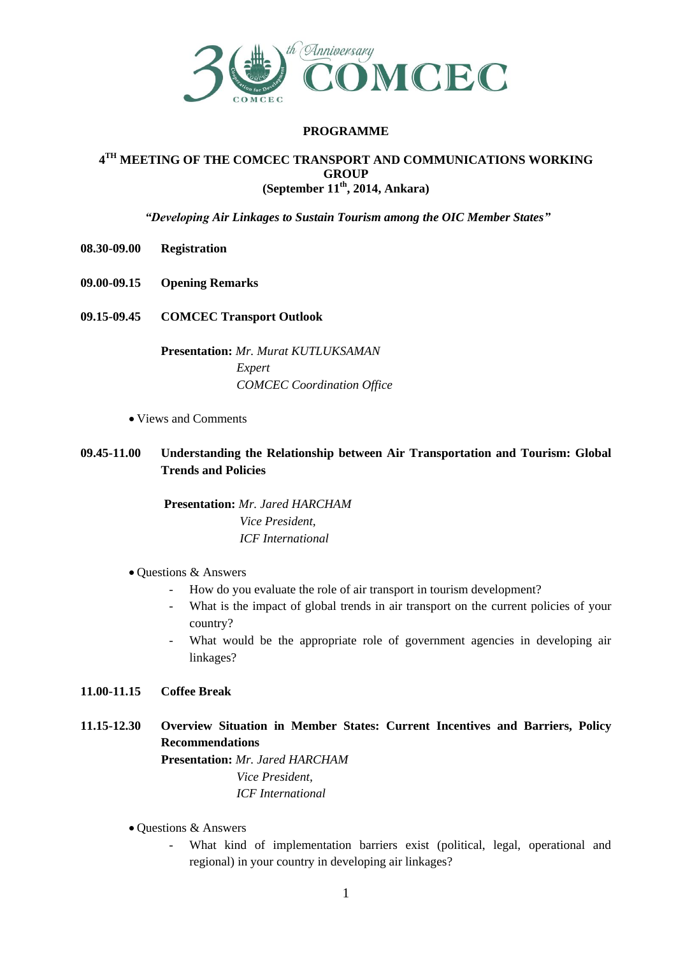

## **PROGRAMME**

### **4 TH MEETING OF THE COMCEC TRANSPORT AND COMMUNICATIONS WORKING GROUP (September 11th, 2014, Ankara)**

*"Developing Air Linkages to Sustain Tourism among the OIC Member States"*

- **08.30-09.00 Registration**
- **09.00-09.15 Opening Remarks**
- **09.15-09.45 COMCEC Transport Outlook**

**Presentation:** *Mr. Murat KUTLUKSAMAN Expert COMCEC Coordination Office*

- Views and Comments
- **09.45-11.00 Understanding the Relationship between Air Transportation and Tourism: Global Trends and Policies**

**Presentation:** *Mr. Jared HARCHAM Vice President, ICF International* 

- Questions & Answers
	- How do you evaluate the role of air transport in tourism development?
	- What is the impact of global trends in air transport on the current policies of your country?
	- What would be the appropriate role of government agencies in developing air linkages?

# **11.00-11.15 Coffee Break**

**11.15-12.30 Overview Situation in Member States: Current Incentives and Barriers, Policy Recommendations**

> **Presentation:** *Mr. Jared HARCHAM Vice President, ICF International*

- Questions & Answers
	- What kind of implementation barriers exist (political, legal, operational and regional) in your country in developing air linkages?